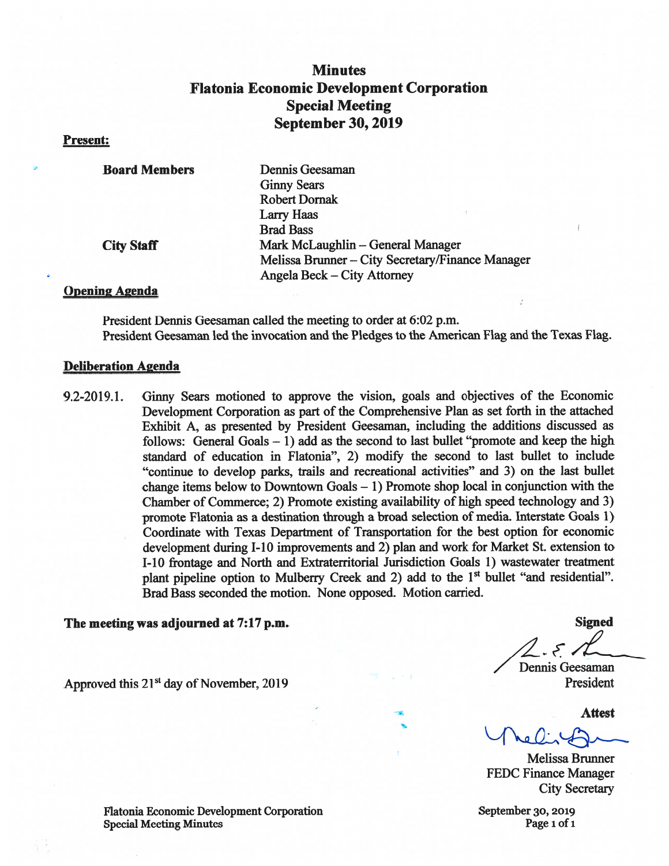# **Minutes Flatonia Economic Development Corporation Special Meeting September 30, 2019**

#### **Present:**

| <b>Board Members</b> | Dennis Geesaman                                  |
|----------------------|--------------------------------------------------|
|                      | <b>Ginny Sears</b>                               |
|                      | <b>Robert Dornak</b>                             |
|                      | Larry Haas                                       |
|                      | <b>Brad Bass</b>                                 |
| <b>City Staff</b>    | Mark McLaughlin - General Manager                |
|                      | Melissa Brunner – City Secretary/Finance Manager |
|                      | Angela Beck – City Attorney                      |

### **Opening Agenda**

President Dennis Geesaman called the meeting to order at 6:02 p.m. President Geesaman led the invocation and the Pledges to the American Flag and the Texas Flag.

#### **Deliberation Agenda**

9.2-2019.1. Ginny Sears motioned to approve the vision, goals and objectives of the Economic Development Corporation as part of the Comprehensive Plan as set forth in the attached Exhibit A, as presented by President Geesaman, including the additions discussed as follows: General Goals  $-1$ ) add as the second to last bullet "promote and keep the high standard of education in Flatonia", 2) modify the second to last bullet to include "continue to develop parks, trails and recreational activities" and 3) on the last bullet change items below to Downtown Goals  $-1$ ) Promote shop local in conjunction with the Chamber of Commerce; 2) Promote existing availability of high speed technology and 3) promote Flatonia as a destination through a broad selection of media. Interstate Goals 1) Coordinate with Texas Department of Transportation for the best option for economic development during I-10 improvements and 2) plan and work for Market St. extension to I-10 frontage and North and Extraterritorial Jurisdiction Goals 1) wastewater treatment plant pipeline option to Mulberry Creek and 2) add to the 1<sup>st</sup> bullet "and residential". Brad Bass seconded the motion. None opposed. Motion carried.

#### The meeting was adjourned at 7:17 p.m.

Approved this 21<sup>st</sup> day of November, 2019

Flatonia Economic Development Corporation **Special Meeting Minutes** 

**Signed** 

 $\mathcal{F}_{\mathcal{A}}$ 

Dennis Geesaman President

**Attest** 

**Melissa Brunner FEDC Finance Manager City Secretary** 

September 30, 2019 Page 1 of 1